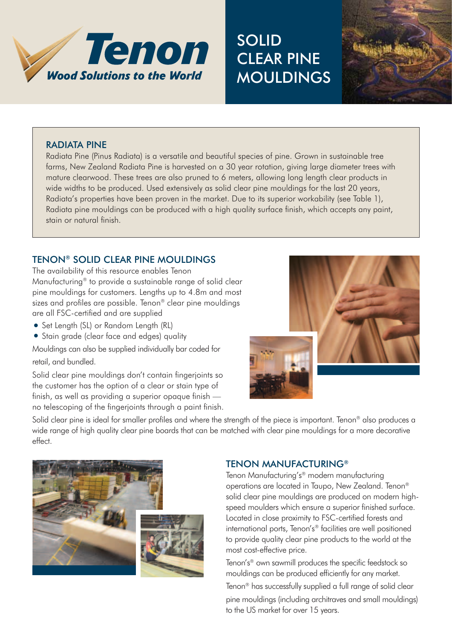

# **SOLID** Clear pine **MOULDINGS**



#### Radiata Pine

Radiata Pine (Pinus Radiata) is a versatile and beautiful species of pine. Grown in sustainable tree farms, New Zealand Radiata Pine is harvested on a 30 year rotation, giving large diameter trees with mature clearwood. These trees are also pruned to 6 meters, allowing long length clear products in wide widths to be produced. Used extensively as solid clear pine mouldings for the last 20 years, Radiata's properties have been proven in the market. Due to its superior workability (see Table 1), Radiata pine mouldings can be produced with a high quality surface finish, which accepts any paint, stain or natural finish.

# Tenon® SOLID CLEAR PINE MOULDINGS

The availability of this resource enables Tenon Manufacturing® to provide a sustainable range of solid clear pine mouldings for customers. Lengths up to 4.8m and most sizes and profiles are possible. Tenon® clear pine mouldings are all FSC-certified and are supplied

- Set Length (SL) or Random Length (RL)
- Stain grade (clear face and edges) quality

Mouldings can also be supplied individually bar coded for retail, and bundled.

Solid clear pine mouldings don't contain fingerjoints so the customer has the option of a clear or stain type of finish, as well as providing a superior opaque finish no telescoping of the fingerjoints through a paint finish.



Solid clear pine is ideal for smaller profiles and where the strength of the piece is important. Tenon<sup>®</sup> also produces a wide range of high quality clear pine boards that can be matched with clear pine mouldings for a more decorative effect.



# Tenon MAnufacturing®

Tenon Manufacturing's® modern manufacturing operations are located in Taupo, New Zealand. Tenon® solid clear pine mouldings are produced on modern highspeed moulders which ensure a superior finished surface. Located in close proximity to FSC-certified forests and international ports, Tenon's® facilities are well positioned to provide quality clear pine products to the world at the most cost-effective price.

Tenon's® own sawmill produces the specific feedstock so mouldings can be produced efficiently for any market.

Tenon® has successfully supplied a full range of solid clear pine mouldings (including architraves and small mouldings) to the US market for over 15 years.